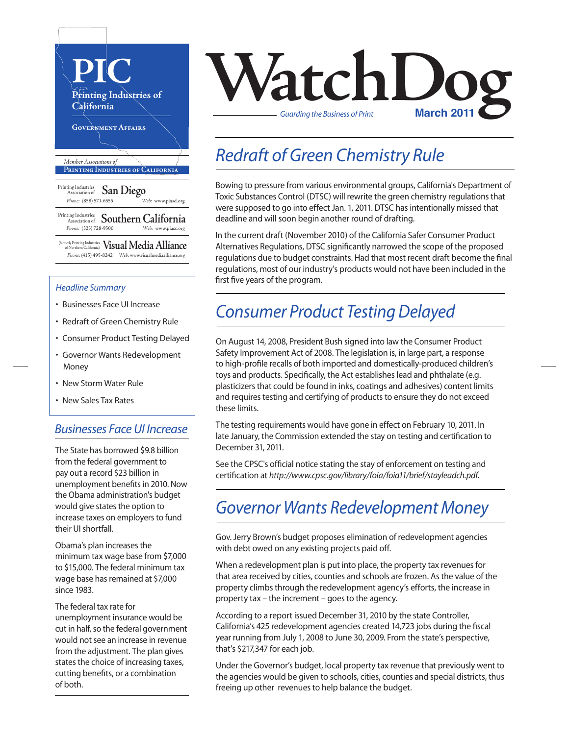

#### *Headline Summary*

- Businesses Face UI Increase
- Redraft of Green Chemistry Rule
- Consumer Product Testing Delayed
- Governor Wants Redevelopment Money
- New Storm Water Rule
- New Sales Tax Rates

#### *Businesses Face UI Increase*

The State has borrowed \$9.8 billion from the federal government to pay out a record \$23 billion in unemployment benefits in 2010. Now the Obama administration's budget would give states the option to increase taxes on employers to fund their UI shortfall.

Obama's plan increases the minimum tax wage base from \$7,000 to \$15,000. The federal minimum tax wage base has remained at \$7,000 since 1983.

The federal tax rate for unemployment insurance would be cut in half, so the federal government would not see an increase in revenue from the adjustment. The plan gives states the choice of increasing taxes, cutting benefits, or a combination of both.



#### *Redraft of Green Chemistry Rule*

Bowing to pressure from various environmental groups, California's Department of Toxic Substances Control (DTSC) will rewrite the green chemistry regulationsthat were supposed to go into effect Jan. 1, 2011. DTSC has intentionally missed that deadline and will soon begin another round of drafting.

In the current draft (November 2010) of the California Safer Consumer Product Alternatives Regulations, DTSC significantly narrowed the scope of the proposed regulations due to budget constraints. Had that most recent draft become the final regulations, most of our industry's products would not have been included in the first five years of the program.

#### *Consumer Product Testing Delayed*

On August 14, 2008, President Bush signed into law the Consumer Product Safety Improvement Act of 2008. The legislation is, in large part, a response to high-profile recalls of both imported and domestically-produced children's toys and products. Specifically, the Act establishes lead and phthalate (e.g. plasticizers that could be found in inks, coatings and adhesives) content limits and requires testing and certifying of products to ensure they do not exceed these limits.

The testing requirements would have gone in effect on February 10, 2011. In late January, the Commission extended the stay on testing and certification to December 31, 2011.

See the CPSC's official notice stating the stay of enforcement on testing and certification at *http://www.cpsc.gov/library/foia/foia11/brief/stayleadch.pdf.* 

#### *Governor Wants Redevelopment Money*

Gov. Jerry Brown's budget proposes elimination of redevelopment agencies with debt owed on any existing projects paid off.

When a redevelopment plan is put into place, the property tax revenues for that area received by cities, counties and schools are frozen. As the value of the property climbs through the redevelopment agency's efforts, the increase in property tax – the increment – goes to the agency.

According to a report issued December 31, 2010 by the state Controller, California's 425 redevelopment agencies created 14,723 jobs during the fiscal year running from July 1, 2008 to June 30, 2009. From the state's perspective, that's \$217,347 for each job.

Under the Governor's budget, local property tax revenue that previously went to the agencies would be given to schools, cities, counties and special districts, thus freeing up other revenues to help balance the budget.